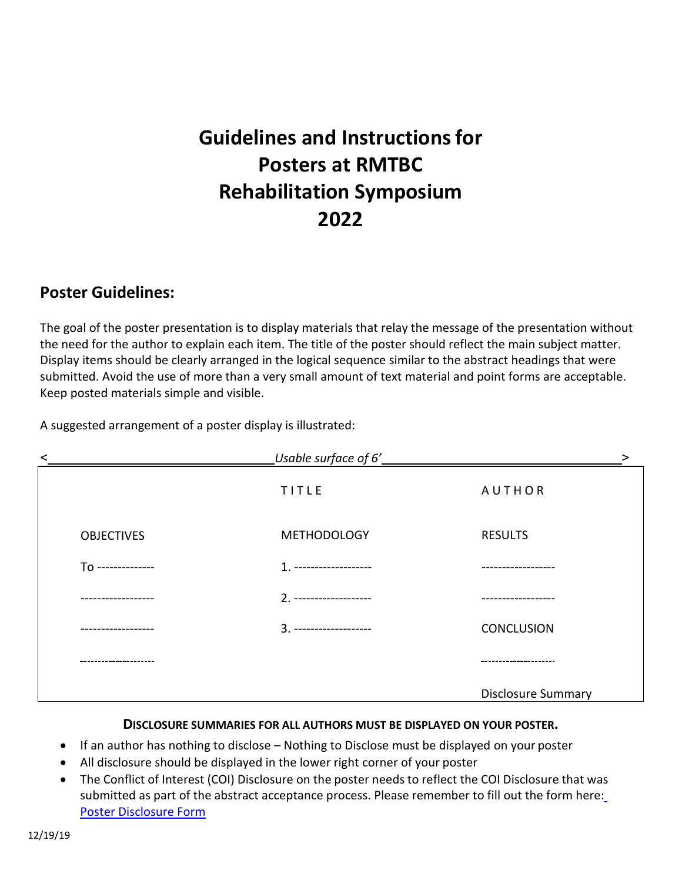# **Guidelines and Instructionsfor Posters at RMTBC Rehabilitation Symposium 2022**

## **Poster Guidelines:**

The goal of the poster presentation is to display materials that relay the message of the presentation without the need for the author to explain each item. The title of the poster should reflect the main subject matter. Display items should be clearly arranged in the logical sequence similar to the abstract headings that were submitted. Avoid the use of more than a very small amount of text material and point forms are acceptable. Keep posted materials simple and visible.

A suggested arrangement of a poster display is illustrated:

| ≺                  | Usable surface of 6'    | >                         |
|--------------------|-------------------------|---------------------------|
|                    | TITLE                   | <b>AUTHOR</b>             |
| <b>OBJECTIVES</b>  | <b>METHODOLOGY</b>      | <b>RESULTS</b>            |
| To --------------  | 1. -------------------- |                           |
| .                  | 2. -------------------- | -------------             |
|                    |                         | <b>CONCLUSION</b>         |
| ------------------ |                         | ----------------          |
|                    |                         | <b>Disclosure Summary</b> |

#### **DISCLOSURE SUMMARIES FOR ALL AUTHORS MUST BE DISPLAYED ON YOUR POSTER.**

- If an author has nothing to disclose Nothing to Disclose must be displayed on your poster
- All disclosure should be displayed in the lower right corner of your poster
- The Conflict of Interest (COI) Disclosure on the poster needs to reflect the COI Disclosure that was submitted as part of the abstract acceptance process. Please remember to fill out the form here: [Poster Disclosure](http://goo.gl/forms/1x89zP797a) Form